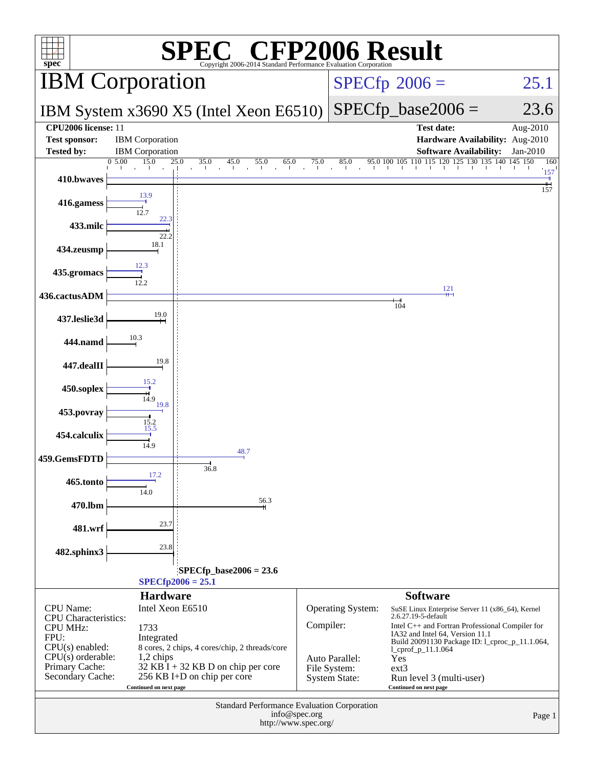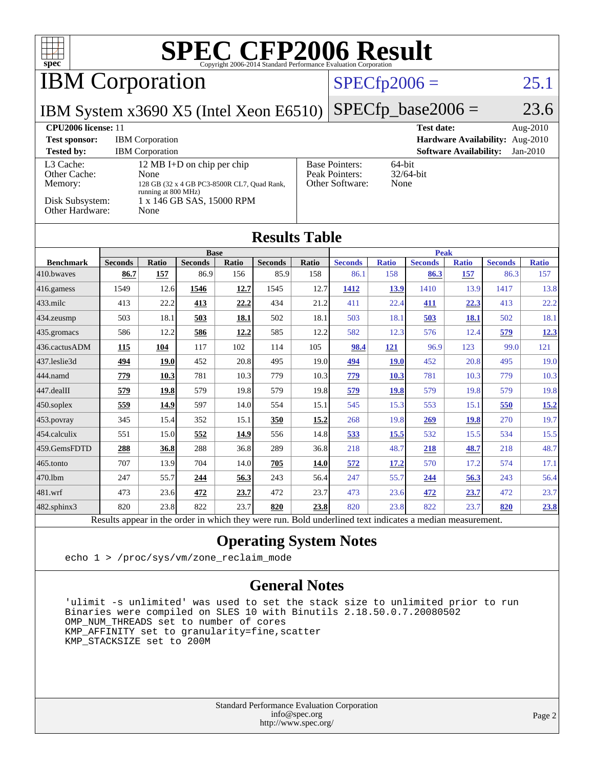| $spec^*$                                                                   |                |                                                  |                                                                                                        |       |                      |       | <b>SPEC CFP2006 Result</b><br>Copyright 2006-2014 Standard Performance Evaluation Corporation |                |                               |                               |                                 |                        |
|----------------------------------------------------------------------------|----------------|--------------------------------------------------|--------------------------------------------------------------------------------------------------------|-------|----------------------|-------|-----------------------------------------------------------------------------------------------|----------------|-------------------------------|-------------------------------|---------------------------------|------------------------|
| <b>IBM</b> Corporation                                                     |                |                                                  |                                                                                                        |       |                      |       |                                                                                               | $SPECfp2006 =$ |                               |                               |                                 | 25.1                   |
| IBM System x3690 X5 (Intel Xeon E6510)                                     |                |                                                  |                                                                                                        |       |                      |       |                                                                                               |                | $SPECfp\_base2006 =$          |                               |                                 | 23.6                   |
| <b>CPU2006</b> license: 11<br><b>Test sponsor:</b><br><b>Tested by:</b>    |                | <b>IBM</b> Corporation<br><b>IBM</b> Corporation |                                                                                                        |       |                      |       |                                                                                               |                | <b>Test date:</b>             | <b>Software Availability:</b> | Hardware Availability: Aug-2010 | Aug-2010<br>$Jan-2010$ |
| L3 Cache:<br>Other Cache:<br>Memory:<br>Disk Subsystem:<br>Other Hardware: |                | None<br>running at 800 MHz)<br>None              | 12 MB I+D on chip per chip<br>128 GB (32 x 4 GB PC3-8500R CL7, Quad Rank,<br>1 x 146 GB SAS, 15000 RPM |       |                      |       | <b>Base Pointers:</b><br>Peak Pointers:<br>Other Software:                                    | 64-bit<br>None | 32/64-bit                     |                               |                                 |                        |
|                                                                            |                |                                                  |                                                                                                        |       | <b>Results Table</b> |       |                                                                                               |                |                               |                               |                                 |                        |
| <b>Benchmark</b>                                                           | <b>Seconds</b> | Ratio                                            | <b>Base</b><br><b>Seconds</b>                                                                          | Ratio | <b>Seconds</b>       | Ratio | <b>Seconds</b>                                                                                | <b>Ratio</b>   | <b>Peak</b><br><b>Seconds</b> | <b>Ratio</b>                  | <b>Seconds</b>                  | <b>Ratio</b>           |
| 410.bwayes                                                                 | 86.7           | 157                                              | 86.9                                                                                                   | 156   | 85.9                 | 158   | 86.1                                                                                          | 158            | 86.3                          | 157                           | 86.3                            | 157                    |
| 416.gamess                                                                 | 1549           | 12.6                                             | 1546                                                                                                   | 12.7  | 1545                 | 12.7  | 1412                                                                                          | 13.9           | 1410                          | 13.9                          | 1417                            | 13.8                   |
| 433.milc                                                                   | 413            | 22.2                                             | 413                                                                                                    | 22,2  | 434                  | 21.2  | 411                                                                                           | 22.4           | 411                           | 22.3                          | 413                             | 22.2                   |
| 434.zeusmp                                                                 | 503            | 18.1                                             | 503                                                                                                    | 18.1  | 502                  | 18.1  | 503                                                                                           | 18.1           | 503                           | <b>18.1</b>                   | 502                             | 18.1                   |
| 435.gromacs                                                                | 586            | 12.2                                             | 586                                                                                                    | 12.2  | 585                  | 12.2  | 582                                                                                           | 12.3           | 576                           | 12.4                          | 579                             | 12.3                   |
| 436.cactusADM                                                              | 115            | 104                                              | 117                                                                                                    | 102   | 114                  | 105   | 98.4                                                                                          | 121            | 96.9                          | 123                           | 99.0                            | 121                    |
| 437.leslie3d                                                               | 494            | <b>19.0</b>                                      | 452                                                                                                    | 20.8  | 495                  | 19.0  | 494                                                                                           | <b>19.0</b>    | 452                           | 20.8                          | 495                             | 19.0                   |
| 444.namd                                                                   | 779            | 10.3                                             | 781                                                                                                    | 10.3  | 779                  | 10.3  | 779                                                                                           | 10.3           | 781                           | 10.3                          | 779                             | 10.3                   |
| 447.dealII                                                                 | 579            | 19.8                                             | 579                                                                                                    | 19.8  | 579                  | 19.8  | 579                                                                                           | <b>19.8</b>    | 579                           | 19.8                          | 579                             | 19.8                   |
| 450.soplex                                                                 | 559            | 14.9                                             | 597                                                                                                    | 14.0  | 554                  | 15.1  | 545                                                                                           | 15.3           | 553                           | 15.1                          | 550                             | 15.2                   |
| 453.povray                                                                 | 345            | 15.4                                             | 352                                                                                                    | 15.1  | 350                  | 15.2  | 268                                                                                           | 19.8           | 269                           | 19.8                          | 270                             | 19.7                   |
| 454.calculix                                                               | 551            | 15.0                                             | 552                                                                                                    | 14.9  | 556                  | 14.8  | 533                                                                                           | 15.5           | 532                           | 15.5                          | 534                             | 15.5                   |
| 459.GemsFDTD                                                               | 288            | 36.8                                             | 288                                                                                                    | 36.8  | 289                  | 36.8  | 218                                                                                           | 48.7           | 218                           | 48.7                          | 218                             | 48.7                   |
| 465.tonto                                                                  | 707            | 13.9                                             | 704                                                                                                    | 14.0  | 705                  | 14.0  | 572                                                                                           | 17.2           | 570                           | 17.2                          | 574                             | 17.1                   |
| 470.1bm                                                                    | 247            | 55.7                                             | 244                                                                                                    | 56.3  | 243                  | 56.4  | 247                                                                                           | 55.7           | 244                           | 56.3                          | 243                             | 56.4                   |
| 481.wrf                                                                    | 473            | 23.6                                             | 472                                                                                                    | 23.7  | 472                  | 23.7  | 473                                                                                           | 23.6           | 472                           | 23.7                          | 472                             | 23.7                   |
| 482.sphinx3                                                                | 820            | 23.8                                             | 822                                                                                                    | 23.7  | 820                  | 23.8  | 820                                                                                           | 23.8           | 822                           | 23.7                          | 820                             | 23.8                   |

Results appear in the [order in which they were run.](http://www.spec.org/auto/cpu2006/Docs/result-fields.html#RunOrder) Bold underlined text [indicates a median measurement.](http://www.spec.org/auto/cpu2006/Docs/result-fields.html#Median)

#### **[Operating System Notes](http://www.spec.org/auto/cpu2006/Docs/result-fields.html#OperatingSystemNotes)**

echo 1 > /proc/sys/vm/zone\_reclaim\_mode

#### **[General Notes](http://www.spec.org/auto/cpu2006/Docs/result-fields.html#GeneralNotes)**

 'ulimit -s unlimited' was used to set the stack size to unlimited prior to run Binaries were compiled on SLES 10 with Binutils 2.18.50.0.7.20080502 OMP\_NUM\_THREADS set to number of cores KMP\_AFFINITY set to granularity=fine,scatter KMP\_STACKSIZE set to 200M

> Standard Performance Evaluation Corporation [info@spec.org](mailto:info@spec.org) <http://www.spec.org/>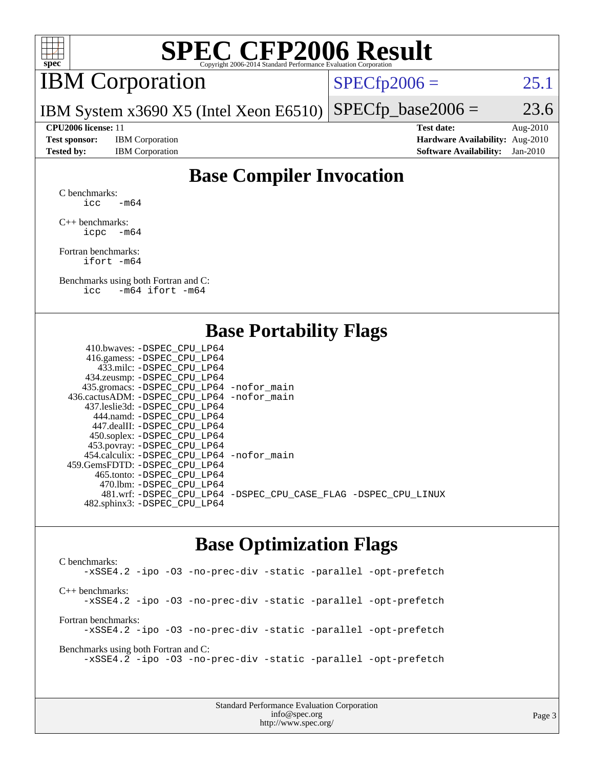

# **[SPEC CFP2006 Result](http://www.spec.org/auto/cpu2006/Docs/result-fields.html#SPECCFP2006Result)**

# IBM Corporation

 $SPECTp2006 = 25.1$ 

IBM System x3690 X5 (Intel Xeon E6510)  $SPECTp\_base2006 = 23.6$ 

**[Test sponsor:](http://www.spec.org/auto/cpu2006/Docs/result-fields.html#Testsponsor)** IBM Corporation **[Hardware Availability:](http://www.spec.org/auto/cpu2006/Docs/result-fields.html#HardwareAvailability)** Aug-2010

**[CPU2006 license:](http://www.spec.org/auto/cpu2006/Docs/result-fields.html#CPU2006license)** 11 **[Test date:](http://www.spec.org/auto/cpu2006/Docs/result-fields.html#Testdate)** Aug-2010 **[Tested by:](http://www.spec.org/auto/cpu2006/Docs/result-fields.html#Testedby)** IBM Corporation **[Software Availability:](http://www.spec.org/auto/cpu2006/Docs/result-fields.html#SoftwareAvailability)** Jan-2010

## **[Base Compiler Invocation](http://www.spec.org/auto/cpu2006/Docs/result-fields.html#BaseCompilerInvocation)**

[C benchmarks](http://www.spec.org/auto/cpu2006/Docs/result-fields.html#Cbenchmarks): icc  $-m64$ 

[C++ benchmarks:](http://www.spec.org/auto/cpu2006/Docs/result-fields.html#CXXbenchmarks) [icpc -m64](http://www.spec.org/cpu2006/results/res2010q3/cpu2006-20100817-12989.flags.html#user_CXXbase_intel_icpc_64bit_bedb90c1146cab66620883ef4f41a67e)

[Fortran benchmarks](http://www.spec.org/auto/cpu2006/Docs/result-fields.html#Fortranbenchmarks): [ifort -m64](http://www.spec.org/cpu2006/results/res2010q3/cpu2006-20100817-12989.flags.html#user_FCbase_intel_ifort_64bit_ee9d0fb25645d0210d97eb0527dcc06e)

[Benchmarks using both Fortran and C](http://www.spec.org/auto/cpu2006/Docs/result-fields.html#BenchmarksusingbothFortranandC): [icc -m64](http://www.spec.org/cpu2006/results/res2010q3/cpu2006-20100817-12989.flags.html#user_CC_FCbase_intel_icc_64bit_0b7121f5ab7cfabee23d88897260401c) [ifort -m64](http://www.spec.org/cpu2006/results/res2010q3/cpu2006-20100817-12989.flags.html#user_CC_FCbase_intel_ifort_64bit_ee9d0fb25645d0210d97eb0527dcc06e)

### **[Base Portability Flags](http://www.spec.org/auto/cpu2006/Docs/result-fields.html#BasePortabilityFlags)**

| 410.bwaves: -DSPEC CPU LP64                 |                                                                |
|---------------------------------------------|----------------------------------------------------------------|
| 416.gamess: - DSPEC_CPU_LP64                |                                                                |
| 433.milc: -DSPEC CPU LP64                   |                                                                |
| 434.zeusmp: -DSPEC_CPU_LP64                 |                                                                |
| 435.gromacs: -DSPEC_CPU_LP64 -nofor_main    |                                                                |
| 436.cactusADM: -DSPEC CPU LP64 -nofor main  |                                                                |
| 437.leslie3d: -DSPEC CPU LP64               |                                                                |
| 444.namd: -DSPEC CPU LP64                   |                                                                |
| 447.dealII: -DSPEC CPU LP64                 |                                                                |
| 450.soplex: -DSPEC_CPU_LP64                 |                                                                |
| 453.povray: -DSPEC_CPU_LP64                 |                                                                |
| 454.calculix: - DSPEC CPU LP64 - nofor main |                                                                |
| 459.GemsFDTD: -DSPEC CPU LP64               |                                                                |
| 465.tonto: - DSPEC CPU LP64                 |                                                                |
| 470.1bm: - DSPEC CPU LP64                   |                                                                |
|                                             | 481.wrf: -DSPEC_CPU_LP64 -DSPEC_CPU_CASE_FLAG -DSPEC_CPU_LINUX |
| 482.sphinx3: -DSPEC_CPU_LP64                |                                                                |
|                                             |                                                                |

### **[Base Optimization Flags](http://www.spec.org/auto/cpu2006/Docs/result-fields.html#BaseOptimizationFlags)**

[C benchmarks](http://www.spec.org/auto/cpu2006/Docs/result-fields.html#Cbenchmarks): [-xSSE4.2](http://www.spec.org/cpu2006/results/res2010q3/cpu2006-20100817-12989.flags.html#user_CCbase_f-xSSE42_f91528193cf0b216347adb8b939d4107) [-ipo](http://www.spec.org/cpu2006/results/res2010q3/cpu2006-20100817-12989.flags.html#user_CCbase_f-ipo) [-O3](http://www.spec.org/cpu2006/results/res2010q3/cpu2006-20100817-12989.flags.html#user_CCbase_f-O3) [-no-prec-div](http://www.spec.org/cpu2006/results/res2010q3/cpu2006-20100817-12989.flags.html#user_CCbase_f-no-prec-div) [-static](http://www.spec.org/cpu2006/results/res2010q3/cpu2006-20100817-12989.flags.html#user_CCbase_f-static) [-parallel](http://www.spec.org/cpu2006/results/res2010q3/cpu2006-20100817-12989.flags.html#user_CCbase_f-parallel) [-opt-prefetch](http://www.spec.org/cpu2006/results/res2010q3/cpu2006-20100817-12989.flags.html#user_CCbase_f-opt-prefetch) [C++ benchmarks:](http://www.spec.org/auto/cpu2006/Docs/result-fields.html#CXXbenchmarks) [-xSSE4.2](http://www.spec.org/cpu2006/results/res2010q3/cpu2006-20100817-12989.flags.html#user_CXXbase_f-xSSE42_f91528193cf0b216347adb8b939d4107) [-ipo](http://www.spec.org/cpu2006/results/res2010q3/cpu2006-20100817-12989.flags.html#user_CXXbase_f-ipo) [-O3](http://www.spec.org/cpu2006/results/res2010q3/cpu2006-20100817-12989.flags.html#user_CXXbase_f-O3) [-no-prec-div](http://www.spec.org/cpu2006/results/res2010q3/cpu2006-20100817-12989.flags.html#user_CXXbase_f-no-prec-div) [-static](http://www.spec.org/cpu2006/results/res2010q3/cpu2006-20100817-12989.flags.html#user_CXXbase_f-static) [-parallel](http://www.spec.org/cpu2006/results/res2010q3/cpu2006-20100817-12989.flags.html#user_CXXbase_f-parallel) [-opt-prefetch](http://www.spec.org/cpu2006/results/res2010q3/cpu2006-20100817-12989.flags.html#user_CXXbase_f-opt-prefetch) [Fortran benchmarks](http://www.spec.org/auto/cpu2006/Docs/result-fields.html#Fortranbenchmarks): [-xSSE4.2](http://www.spec.org/cpu2006/results/res2010q3/cpu2006-20100817-12989.flags.html#user_FCbase_f-xSSE42_f91528193cf0b216347adb8b939d4107) [-ipo](http://www.spec.org/cpu2006/results/res2010q3/cpu2006-20100817-12989.flags.html#user_FCbase_f-ipo) [-O3](http://www.spec.org/cpu2006/results/res2010q3/cpu2006-20100817-12989.flags.html#user_FCbase_f-O3) [-no-prec-div](http://www.spec.org/cpu2006/results/res2010q3/cpu2006-20100817-12989.flags.html#user_FCbase_f-no-prec-div) [-static](http://www.spec.org/cpu2006/results/res2010q3/cpu2006-20100817-12989.flags.html#user_FCbase_f-static) [-parallel](http://www.spec.org/cpu2006/results/res2010q3/cpu2006-20100817-12989.flags.html#user_FCbase_f-parallel) [-opt-prefetch](http://www.spec.org/cpu2006/results/res2010q3/cpu2006-20100817-12989.flags.html#user_FCbase_f-opt-prefetch) [Benchmarks using both Fortran and C](http://www.spec.org/auto/cpu2006/Docs/result-fields.html#BenchmarksusingbothFortranandC): [-xSSE4.2](http://www.spec.org/cpu2006/results/res2010q3/cpu2006-20100817-12989.flags.html#user_CC_FCbase_f-xSSE42_f91528193cf0b216347adb8b939d4107) [-ipo](http://www.spec.org/cpu2006/results/res2010q3/cpu2006-20100817-12989.flags.html#user_CC_FCbase_f-ipo) [-O3](http://www.spec.org/cpu2006/results/res2010q3/cpu2006-20100817-12989.flags.html#user_CC_FCbase_f-O3) [-no-prec-div](http://www.spec.org/cpu2006/results/res2010q3/cpu2006-20100817-12989.flags.html#user_CC_FCbase_f-no-prec-div) [-static](http://www.spec.org/cpu2006/results/res2010q3/cpu2006-20100817-12989.flags.html#user_CC_FCbase_f-static) [-parallel](http://www.spec.org/cpu2006/results/res2010q3/cpu2006-20100817-12989.flags.html#user_CC_FCbase_f-parallel) [-opt-prefetch](http://www.spec.org/cpu2006/results/res2010q3/cpu2006-20100817-12989.flags.html#user_CC_FCbase_f-opt-prefetch)

> Standard Performance Evaluation Corporation [info@spec.org](mailto:info@spec.org) <http://www.spec.org/>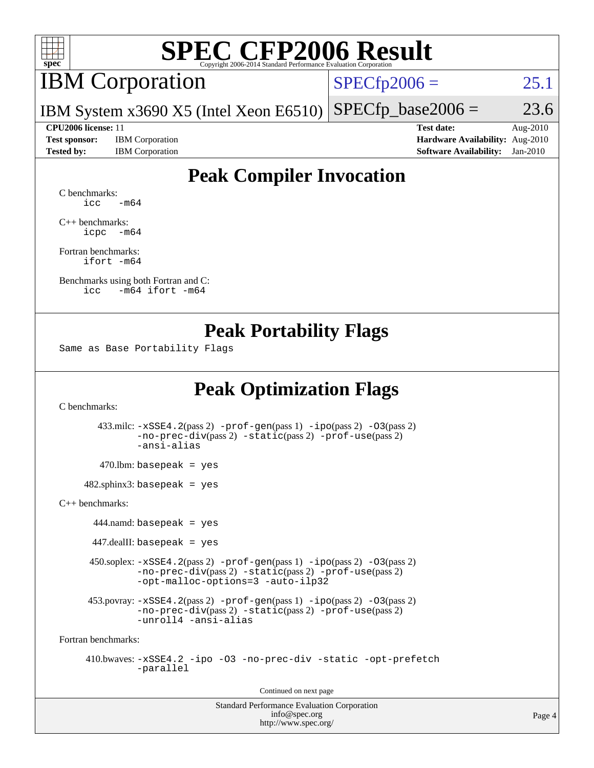

# **[SPEC CFP2006 Result](http://www.spec.org/auto/cpu2006/Docs/result-fields.html#SPECCFP2006Result)**

# IBM Corporation

 $SPECfp2006 = 25.1$  $SPECfp2006 = 25.1$ 

IBM System x3690 X5 (Intel Xeon E6510)  $SPECTp\_base2006 = 23.6$ 

**[Test sponsor:](http://www.spec.org/auto/cpu2006/Docs/result-fields.html#Testsponsor)** IBM Corporation **[Hardware Availability:](http://www.spec.org/auto/cpu2006/Docs/result-fields.html#HardwareAvailability)** Aug-2010

**[CPU2006 license:](http://www.spec.org/auto/cpu2006/Docs/result-fields.html#CPU2006license)** 11 **[Test date:](http://www.spec.org/auto/cpu2006/Docs/result-fields.html#Testdate)** Aug-2010 **[Tested by:](http://www.spec.org/auto/cpu2006/Docs/result-fields.html#Testedby)** IBM Corporation **[Software Availability:](http://www.spec.org/auto/cpu2006/Docs/result-fields.html#SoftwareAvailability)** Jan-2010

## **[Peak Compiler Invocation](http://www.spec.org/auto/cpu2006/Docs/result-fields.html#PeakCompilerInvocation)**

[C benchmarks](http://www.spec.org/auto/cpu2006/Docs/result-fields.html#Cbenchmarks):  $\text{icc}$   $-\text{m64}$ 

[C++ benchmarks:](http://www.spec.org/auto/cpu2006/Docs/result-fields.html#CXXbenchmarks) [icpc -m64](http://www.spec.org/cpu2006/results/res2010q3/cpu2006-20100817-12989.flags.html#user_CXXpeak_intel_icpc_64bit_bedb90c1146cab66620883ef4f41a67e)

[Fortran benchmarks](http://www.spec.org/auto/cpu2006/Docs/result-fields.html#Fortranbenchmarks): [ifort -m64](http://www.spec.org/cpu2006/results/res2010q3/cpu2006-20100817-12989.flags.html#user_FCpeak_intel_ifort_64bit_ee9d0fb25645d0210d97eb0527dcc06e)

[Benchmarks using both Fortran and C](http://www.spec.org/auto/cpu2006/Docs/result-fields.html#BenchmarksusingbothFortranandC): [icc -m64](http://www.spec.org/cpu2006/results/res2010q3/cpu2006-20100817-12989.flags.html#user_CC_FCpeak_intel_icc_64bit_0b7121f5ab7cfabee23d88897260401c) [ifort -m64](http://www.spec.org/cpu2006/results/res2010q3/cpu2006-20100817-12989.flags.html#user_CC_FCpeak_intel_ifort_64bit_ee9d0fb25645d0210d97eb0527dcc06e)

### **[Peak Portability Flags](http://www.spec.org/auto/cpu2006/Docs/result-fields.html#PeakPortabilityFlags)**

Same as Base Portability Flags

## **[Peak Optimization Flags](http://www.spec.org/auto/cpu2006/Docs/result-fields.html#PeakOptimizationFlags)**

[C benchmarks](http://www.spec.org/auto/cpu2006/Docs/result-fields.html#Cbenchmarks):

 433.milc: [-xSSE4.2](http://www.spec.org/cpu2006/results/res2010q3/cpu2006-20100817-12989.flags.html#user_peakPASS2_CFLAGSPASS2_LDFLAGS433_milc_f-xSSE42_f91528193cf0b216347adb8b939d4107)(pass 2) [-prof-gen](http://www.spec.org/cpu2006/results/res2010q3/cpu2006-20100817-12989.flags.html#user_peakPASS1_CFLAGSPASS1_LDFLAGS433_milc_prof_gen_e43856698f6ca7b7e442dfd80e94a8fc)(pass 1) [-ipo](http://www.spec.org/cpu2006/results/res2010q3/cpu2006-20100817-12989.flags.html#user_peakPASS2_CFLAGSPASS2_LDFLAGS433_milc_f-ipo)(pass 2) [-O3](http://www.spec.org/cpu2006/results/res2010q3/cpu2006-20100817-12989.flags.html#user_peakPASS2_CFLAGSPASS2_LDFLAGS433_milc_f-O3)(pass 2) [-no-prec-div](http://www.spec.org/cpu2006/results/res2010q3/cpu2006-20100817-12989.flags.html#user_peakPASS2_CFLAGSPASS2_LDFLAGS433_milc_f-no-prec-div)(pass 2) [-static](http://www.spec.org/cpu2006/results/res2010q3/cpu2006-20100817-12989.flags.html#user_peakPASS2_CFLAGSPASS2_LDFLAGS433_milc_f-static)(pass 2) [-prof-use](http://www.spec.org/cpu2006/results/res2010q3/cpu2006-20100817-12989.flags.html#user_peakPASS2_CFLAGSPASS2_LDFLAGS433_milc_prof_use_bccf7792157ff70d64e32fe3e1250b55)(pass 2) [-ansi-alias](http://www.spec.org/cpu2006/results/res2010q3/cpu2006-20100817-12989.flags.html#user_peakOPTIMIZE433_milc_f-ansi-alias)  $470.$ lbm: basepeak = yes  $482$ .sphinx3: basepeak = yes [C++ benchmarks:](http://www.spec.org/auto/cpu2006/Docs/result-fields.html#CXXbenchmarks) 444.namd: basepeak = yes  $447$ .dealII: basepeak = yes 450.soplex: [-xSSE4.2](http://www.spec.org/cpu2006/results/res2010q3/cpu2006-20100817-12989.flags.html#user_peakPASS2_CXXFLAGSPASS2_LDFLAGS450_soplex_f-xSSE42_f91528193cf0b216347adb8b939d4107)(pass 2) [-prof-gen](http://www.spec.org/cpu2006/results/res2010q3/cpu2006-20100817-12989.flags.html#user_peakPASS1_CXXFLAGSPASS1_LDFLAGS450_soplex_prof_gen_e43856698f6ca7b7e442dfd80e94a8fc)(pass 1) [-ipo](http://www.spec.org/cpu2006/results/res2010q3/cpu2006-20100817-12989.flags.html#user_peakPASS2_CXXFLAGSPASS2_LDFLAGS450_soplex_f-ipo)(pass 2) [-O3](http://www.spec.org/cpu2006/results/res2010q3/cpu2006-20100817-12989.flags.html#user_peakPASS2_CXXFLAGSPASS2_LDFLAGS450_soplex_f-O3)(pass 2) [-no-prec-div](http://www.spec.org/cpu2006/results/res2010q3/cpu2006-20100817-12989.flags.html#user_peakPASS2_CXXFLAGSPASS2_LDFLAGS450_soplex_f-no-prec-div)(pass 2) [-static](http://www.spec.org/cpu2006/results/res2010q3/cpu2006-20100817-12989.flags.html#user_peakPASS2_CXXFLAGSPASS2_LDFLAGS450_soplex_f-static)(pass 2) [-prof-use](http://www.spec.org/cpu2006/results/res2010q3/cpu2006-20100817-12989.flags.html#user_peakPASS2_CXXFLAGSPASS2_LDFLAGS450_soplex_prof_use_bccf7792157ff70d64e32fe3e1250b55)(pass 2) [-opt-malloc-options=3](http://www.spec.org/cpu2006/results/res2010q3/cpu2006-20100817-12989.flags.html#user_peakOPTIMIZE450_soplex_f-opt-malloc-options_13ab9b803cf986b4ee62f0a5998c2238) [-auto-ilp32](http://www.spec.org/cpu2006/results/res2010q3/cpu2006-20100817-12989.flags.html#user_peakCXXOPTIMIZE450_soplex_f-auto-ilp32) 453.povray:  $-xSSE4$ . 2(pass 2)  $-prof-gen(pass 1) -ipo(pass 2) -O3(pass 2)$  $-prof-gen(pass 1) -ipo(pass 2) -O3(pass 2)$  $-prof-gen(pass 1) -ipo(pass 2) -O3(pass 2)$  $-prof-gen(pass 1) -ipo(pass 2) -O3(pass 2)$  $-prof-gen(pass 1) -ipo(pass 2) -O3(pass 2)$  $-prof-gen(pass 1) -ipo(pass 2) -O3(pass 2)$ [-no-prec-div](http://www.spec.org/cpu2006/results/res2010q3/cpu2006-20100817-12989.flags.html#user_peakPASS2_CXXFLAGSPASS2_LDFLAGS453_povray_f-no-prec-div)(pass 2) [-static](http://www.spec.org/cpu2006/results/res2010q3/cpu2006-20100817-12989.flags.html#user_peakPASS2_CXXFLAGSPASS2_LDFLAGS453_povray_f-static)(pass 2) [-prof-use](http://www.spec.org/cpu2006/results/res2010q3/cpu2006-20100817-12989.flags.html#user_peakPASS2_CXXFLAGSPASS2_LDFLAGS453_povray_prof_use_bccf7792157ff70d64e32fe3e1250b55)(pass 2) [-unroll4](http://www.spec.org/cpu2006/results/res2010q3/cpu2006-20100817-12989.flags.html#user_peakCXXOPTIMIZE453_povray_f-unroll_4e5e4ed65b7fd20bdcd365bec371b81f) [-ansi-alias](http://www.spec.org/cpu2006/results/res2010q3/cpu2006-20100817-12989.flags.html#user_peakCXXOPTIMIZE453_povray_f-ansi-alias) [Fortran benchmarks](http://www.spec.org/auto/cpu2006/Docs/result-fields.html#Fortranbenchmarks):

 410.bwaves: [-xSSE4.2](http://www.spec.org/cpu2006/results/res2010q3/cpu2006-20100817-12989.flags.html#user_peakOPTIMIZE410_bwaves_f-xSSE42_f91528193cf0b216347adb8b939d4107) [-ipo](http://www.spec.org/cpu2006/results/res2010q3/cpu2006-20100817-12989.flags.html#user_peakOPTIMIZE410_bwaves_f-ipo) [-O3](http://www.spec.org/cpu2006/results/res2010q3/cpu2006-20100817-12989.flags.html#user_peakOPTIMIZE410_bwaves_f-O3) [-no-prec-div](http://www.spec.org/cpu2006/results/res2010q3/cpu2006-20100817-12989.flags.html#user_peakOPTIMIZE410_bwaves_f-no-prec-div) [-static](http://www.spec.org/cpu2006/results/res2010q3/cpu2006-20100817-12989.flags.html#user_peakOPTIMIZE410_bwaves_f-static) [-opt-prefetch](http://www.spec.org/cpu2006/results/res2010q3/cpu2006-20100817-12989.flags.html#user_peakOPTIMIZE410_bwaves_f-opt-prefetch) [-parallel](http://www.spec.org/cpu2006/results/res2010q3/cpu2006-20100817-12989.flags.html#user_peakOPTIMIZE410_bwaves_f-parallel)

Continued on next page

Standard Performance Evaluation Corporation [info@spec.org](mailto:info@spec.org) <http://www.spec.org/>